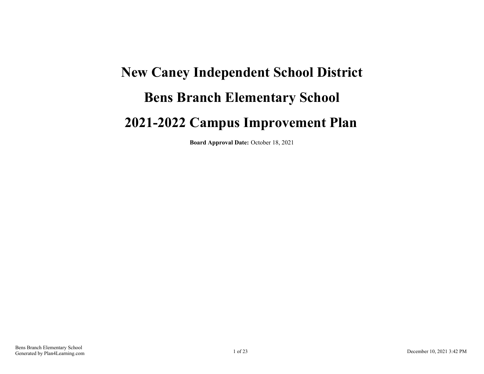## **New Caney Independent School District Bens Branch Elementary School 2021-2022 Campus Improvement Plan**

**Board Approval Date:** October 18, 2021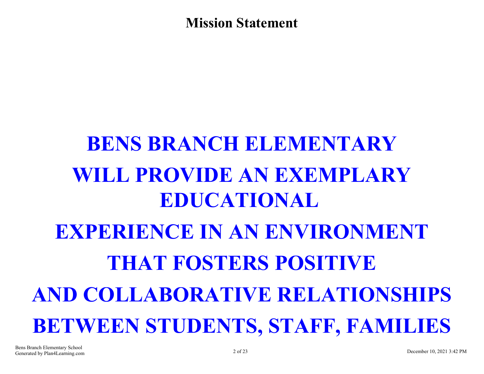**Mission Statement**

# **BENS BRANCH ELEMENTARY WILL PROVIDE AN EXEMPLARY EDUCATIONAL EXPERIENCE IN AN ENVIRONMENT THAT FOSTERS POSITIVE AND COLLABORATIVE RELATIONSHIPS BETWEEN STUDENTS, STAFF, FAMILIES**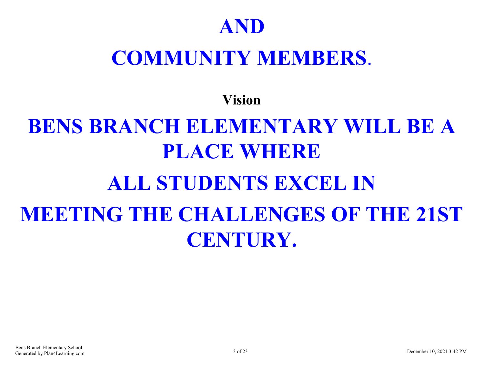## **AND**

## **COMMUNITY MEMBERS**.

**Vision**

# **BENS BRANCH ELEMENTARY WILL BE A PLACE WHERE ALL STUDENTS EXCEL IN MEETING THE CHALLENGES OF THE 21ST CENTURY.**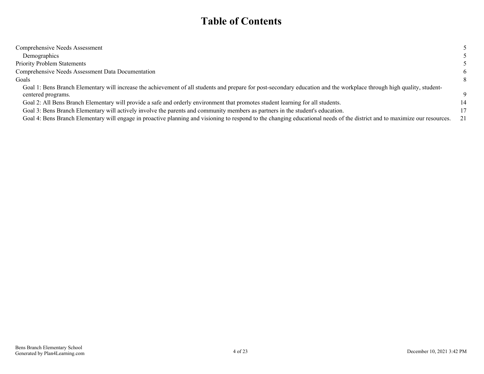### **Table of Contents**

| Comprehensive Needs Assessment                                                                                                                                             |                 |
|----------------------------------------------------------------------------------------------------------------------------------------------------------------------------|-----------------|
| Demographics                                                                                                                                                               |                 |
| <b>Priority Problem Statements</b>                                                                                                                                         |                 |
| Comprehensive Needs Assessment Data Documentation                                                                                                                          | 6               |
| Goals                                                                                                                                                                      | 8               |
| Goal 1: Bens Branch Elementary will increase the achievement of all students and prepare for post-secondary education and the workplace through high quality, student-     |                 |
| centered programs.                                                                                                                                                         | Q               |
| Goal 2: All Bens Branch Elementary will provide a safe and orderly environment that promotes student learning for all students.                                            | 14              |
| Goal 3: Bens Branch Elementary will actively involve the parents and community members as partners in the student's education.                                             | 17 <sup>1</sup> |
| Goal 4: Bens Branch Elementary will engage in proactive planning and visioning to respond to the changing educational needs of the district and to maximize our resources. | 21              |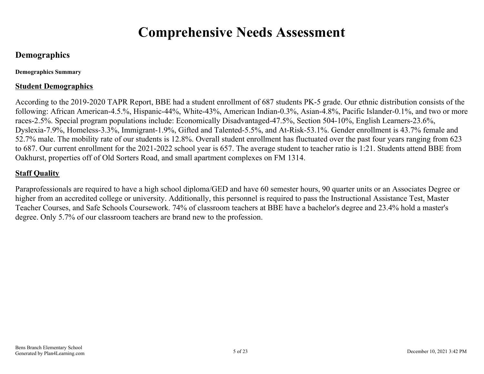## **Comprehensive Needs Assessment**

#### <span id="page-4-0"></span>**Demographics**

**Demographics Summary**

#### **Student Demographics**

According to the 2019-2020 TAPR Report, BBE had a student enrollment of 687 students PK-5 grade. Our ethnic distribution consists of the following: African American-4.5.%, Hispanic-44%, White-43%, American Indian-0.3%, Asian-4.8%, Pacific Islander-0.1%, and two or more races-2.5%. Special program populations include: Economically Disadvantaged-47.5%, Section 504-10%, English Learners-23.6%, Dyslexia-7.9%, Homeless-3.3%, Immigrant-1.9%, Gifted and Talented-5.5%, and At-Risk-53.1%. Gender enrollment is 43.7% female and 52.7% male. The mobility rate of our students is 12.8%. Overall student enrollment has fluctuated over the past four years ranging from 623 to 687. Our current enrollment for the 2021-2022 school year is 657. The average student to teacher ratio is 1:21. Students attend BBE from Oakhurst, properties off of Old Sorters Road, and small apartment complexes on FM 1314.

#### **Staff Quality**

Paraprofessionals are required to have a high school diploma/GED and have 60 semester hours, 90 quarter units or an Associates Degree or higher from an accredited college or university. Additionally, this personnel is required to pass the Instructional Assistance Test, Master Teacher Courses, and Safe Schools Coursework. 74% of classroom teachers at BBE have a bachelor's degree and 23.4% hold a master's degree. Only 5.7% of our classroom teachers are brand new to the profession.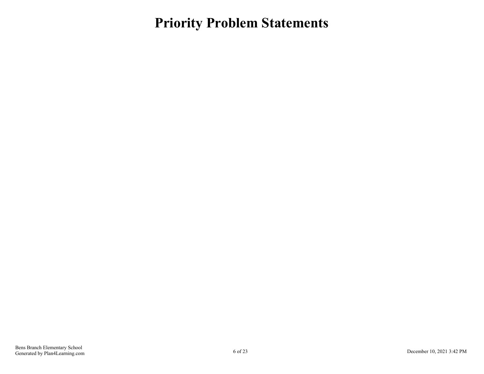### <span id="page-5-0"></span>**Priority Problem Statements**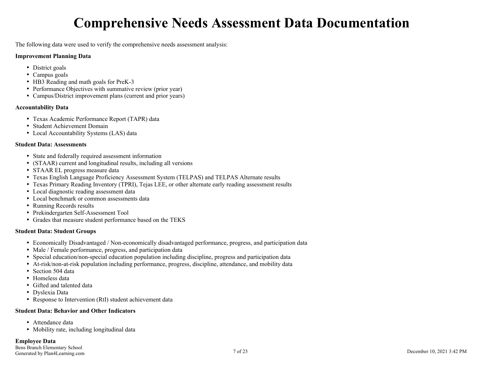## **Comprehensive Needs Assessment Data Documentation**

<span id="page-6-0"></span>The following data were used to verify the comprehensive needs assessment analysis:

#### **Improvement Planning Data**

- District goals
- Campus goals
- HB3 Reading and math goals for PreK-3
- Performance Objectives with summative review (prior year)
- Campus/District improvement plans (current and prior years)

#### **Accountability Data**

- Texas Academic Performance Report (TAPR) data
- Student Achievement Domain
- Local Accountability Systems (LAS) data

#### **Student Data: Assessments**

- State and federally required assessment information
- (STAAR) current and longitudinal results, including all versions
- STAAR EL progress measure data
- Texas English Language Proficiency Assessment System (TELPAS) and TELPAS Alternate results
- Texas Primary Reading Inventory (TPRI), Tejas LEE, or other alternate early reading assessment results
- Local diagnostic reading assessment data
- Local benchmark or common assessments data
- Running Records results
- Prekindergarten Self-Assessment Tool
- Grades that measure student performance based on the TEKS

#### **Student Data: Student Groups**

- Economically Disadvantaged / Non-economically disadvantaged performance, progress, and participation data
- Male / Female performance, progress, and participation data
- Special education/non-special education population including discipline, progress and participation data
- At-risk/non-at-risk population including performance, progress, discipline, attendance, and mobility data
- Section 504 data
- Homeless data
- Gifted and talented data
- Dyslexia Data
- Response to Intervention (RtI) student achievement data

#### **Student Data: Behavior and Other Indicators**

- Attendance data
- Mobility rate, including longitudinal data

#### **Employee Data**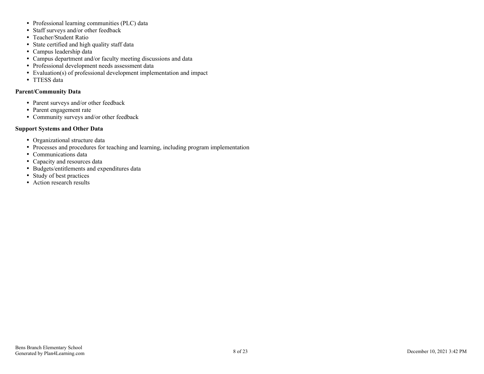- Professional learning communities (PLC) data
- Staff surveys and/or other feedback
- Teacher/Student Ratio
- State certified and high quality staff data
- Campus leadership data
- Campus department and/or faculty meeting discussions and data
- Professional development needs assessment data
- Evaluation(s) of professional development implementation and impact
- TTESS data

#### **Parent/Community Data**

- Parent surveys and/or other feedback
- Parent engagement rate
- Community surveys and/or other feedback

#### **Support Systems and Other Data**

- Organizational structure data
- Processes and procedures for teaching and learning, including program implementation
- Communications data
- Capacity and resources data
- Budgets/entitlements and expenditures data
- Study of best practices
- Action research results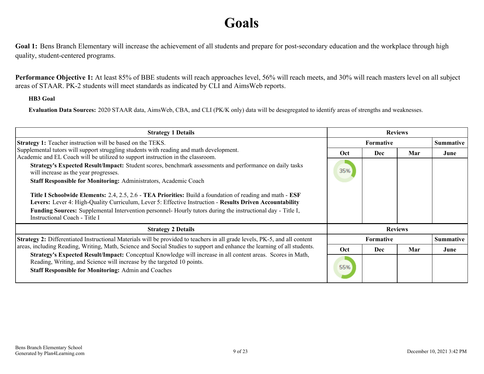## **Goals**

<span id="page-8-0"></span>Goal 1: Bens Branch Elementary will increase the achievement of all students and prepare for post-secondary education and the workplace through high quality, student-centered programs.

**Performance Objective 1:** At least 85% of BBE students will reach approaches level, 56% will reach meets, and 30% will reach masters level on all subject areas of STAAR. PK-2 students will meet standards as indicated by CLI and AimsWeb reports.

#### **HB3 Goal**

**Evaluation Data Sources:** 2020 STAAR data, AimsWeb, CBA, and CLI (PK/K only) data will be desegregated to identify areas of strengths and weaknesses.

| <b>Strategy 1 Details</b>                                                                                                                                                                                                                                                                                                                                                    | <b>Reviews</b> |                  |     |                  |
|------------------------------------------------------------------------------------------------------------------------------------------------------------------------------------------------------------------------------------------------------------------------------------------------------------------------------------------------------------------------------|----------------|------------------|-----|------------------|
| <b>Strategy 1:</b> Teacher instruction will be based on the TEKS.                                                                                                                                                                                                                                                                                                            |                | <b>Formative</b> |     | <b>Summative</b> |
| Supplemental tutors will support struggling students with reading and math development.<br>Academic and EL Coach will be utilized to support instruction in the classroom.                                                                                                                                                                                                   | Oct            | Dec              | Mar | June             |
| Strategy's Expected Result/Impact: Student scores, benchmark assessments and performance on daily tasks<br>will increase as the year progresses.                                                                                                                                                                                                                             | 35%            |                  |     |                  |
| Staff Responsible for Monitoring: Administrators, Academic Coach                                                                                                                                                                                                                                                                                                             |                |                  |     |                  |
| Title I Schoolwide Elements: 2.4, 2.5, 2.6 - TEA Priorities: Build a foundation of reading and math - ESF<br>Levers: Lever 4: High-Quality Curriculum, Lever 5: Effective Instruction - Results Driven Accountability<br><b>Funding Sources:</b> Supplemental Intervention personnel- Hourly tutors during the instructional day - Title I,<br>Instructional Coach - Title I |                |                  |     |                  |
| <b>Strategy 2 Details</b>                                                                                                                                                                                                                                                                                                                                                    |                | <b>Reviews</b>   |     |                  |
| Strategy 2: Differentiated Instructional Materials will be provided to teachers in all grade levels, PK-5, and all content                                                                                                                                                                                                                                                   |                | <b>Formative</b> |     | <b>Summative</b> |
| areas, including Reading, Writing, Math, Science and Social Studies to support and enhance the learning of all students.<br>Strategy's Expected Result/Impact: Conceptual Knowledge will increase in all content areas. Scores in Math,                                                                                                                                      | Oct.           | <b>Dec</b>       | Mar | June             |
| Reading, Writing, and Science will increase by the targeted 10 points.<br><b>Staff Responsible for Monitoring: Admin and Coaches</b>                                                                                                                                                                                                                                         | 55%            |                  |     |                  |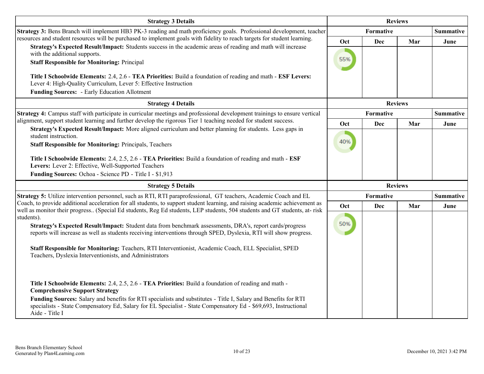| <b>Strategy 3 Details</b>                                                                                                                                                                                                                                                                                                                                                                              | <b>Reviews</b> |            |                |                  |
|--------------------------------------------------------------------------------------------------------------------------------------------------------------------------------------------------------------------------------------------------------------------------------------------------------------------------------------------------------------------------------------------------------|----------------|------------|----------------|------------------|
| Strategy 3: Bens Branch will implement HB3 PK-3 reading and math proficiency goals. Professional development, teacher                                                                                                                                                                                                                                                                                  |                | Formative  |                | <b>Summative</b> |
| resources and student resources will be purchased to implement goals with fidelity to reach targets for student learning.                                                                                                                                                                                                                                                                              | Oct            | <b>Dec</b> | Mar            | June             |
| Strategy's Expected Result/Impact: Students success in the academic areas of reading and math will increase<br>with the additional supports.                                                                                                                                                                                                                                                           |                |            |                |                  |
| <b>Staff Responsible for Monitoring: Principal</b>                                                                                                                                                                                                                                                                                                                                                     | 55%            |            |                |                  |
|                                                                                                                                                                                                                                                                                                                                                                                                        |                |            |                |                  |
| Title I Schoolwide Elements: 2.4, 2.6 - TEA Priorities: Build a foundation of reading and math - ESF Levers:<br>Lever 4: High-Quality Curriculum, Lever 5: Effective Instruction                                                                                                                                                                                                                       |                |            |                |                  |
| <b>Funding Sources: - Early Education Allotment</b>                                                                                                                                                                                                                                                                                                                                                    |                |            |                |                  |
| <b>Strategy 4 Details</b>                                                                                                                                                                                                                                                                                                                                                                              | <b>Reviews</b> |            |                |                  |
| Strategy 4: Campus staff with participate in curricular meetings and professional development trainings to ensure vertical                                                                                                                                                                                                                                                                             |                | Formative  |                | <b>Summative</b> |
| alignment, support student learning and further develop the rigorous Tier 1 teaching needed for student success.                                                                                                                                                                                                                                                                                       | Oct            | Dec        | Mar            | June             |
| Strategy's Expected Result/Impact: More aligned curriculum and better planning for students. Less gaps in<br>student instruction.                                                                                                                                                                                                                                                                      |                |            |                |                  |
| <b>Staff Responsible for Monitoring: Principals, Teachers</b>                                                                                                                                                                                                                                                                                                                                          | 40%            |            |                |                  |
|                                                                                                                                                                                                                                                                                                                                                                                                        |                |            |                |                  |
| Title I Schoolwide Elements: 2.4, 2.5, 2.6 - TEA Priorities: Build a foundation of reading and math - ESF<br>Levers: Lever 2: Effective, Well-Supported Teachers                                                                                                                                                                                                                                       |                |            |                |                  |
| Funding Sources: Ochoa - Science PD - Title I - \$1,913                                                                                                                                                                                                                                                                                                                                                |                |            |                |                  |
| <b>Strategy 5 Details</b>                                                                                                                                                                                                                                                                                                                                                                              |                |            | <b>Reviews</b> |                  |
| Strategy 5: Utilize intervention personnel, such as RTI, RTI paraprofessional, GT teachers, Academic Coach and EL                                                                                                                                                                                                                                                                                      |                | Formative  |                | <b>Summative</b> |
| Coach, to provide additional acceleration for all students, to support student learning, and raising academic achievement as                                                                                                                                                                                                                                                                           | Oct            | Dec        | Mar            | June             |
| well as monitor their progress (Special Ed students, Reg Ed students, LEP students, 504 students and GT students, at-risk<br>students).                                                                                                                                                                                                                                                                |                |            |                |                  |
| Strategy's Expected Result/Impact: Student data from benchmark assessments, DRA's, report cards/progress                                                                                                                                                                                                                                                                                               | 50%            |            |                |                  |
| reports will increase as well as students receiving interventions through SPED, Dyslexia, RTI will show progress.                                                                                                                                                                                                                                                                                      |                |            |                |                  |
| Staff Responsible for Monitoring: Teachers, RTI Interventionist, Academic Coach, ELL Specialist, SPED<br>Teachers, Dyslexia Interventionists, and Administrators                                                                                                                                                                                                                                       |                |            |                |                  |
| Title I Schoolwide Elements: 2.4, 2.5, 2.6 - TEA Priorities: Build a foundation of reading and math -<br><b>Comprehensive Support Strategy</b><br>Funding Sources: Salary and benefits for RTI specialists and substitutes - Title I, Salary and Benefits for RTI<br>specialists - State Compensatory Ed, Salary for EL Specialist - State Compensatory Ed - \$69,693, Instructional<br>Aide - Title I |                |            |                |                  |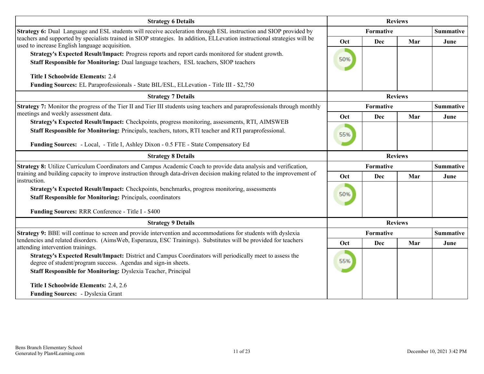| <b>Strategy 6 Details</b>                                                                                                                                                                               |                | <b>Reviews</b> |                |                  |
|---------------------------------------------------------------------------------------------------------------------------------------------------------------------------------------------------------|----------------|----------------|----------------|------------------|
| Strategy 6: Dual Language and ESL students will receive acceleration through ESL instruction and SIOP provided by                                                                                       |                | Formative      |                | <b>Summative</b> |
| teachers and supported by specialists trained in SIOP strategies. In addition, ELLevation instructional strategies will be<br>used to increase English language acquisition.                            | Oct            | <b>Dec</b>     | Mar            | June             |
| Strategy's Expected Result/Impact: Progress reports and report cards monitored for student growth.                                                                                                      |                |                |                |                  |
| Staff Responsible for Monitoring: Dual language teachers, ESL teachers, SIOP teachers                                                                                                                   | 50%            |                |                |                  |
| <b>Title I Schoolwide Elements: 2.4</b>                                                                                                                                                                 |                |                |                |                  |
| Funding Sources: EL Paraprofessionals - State BIL/ESL, ELLevation - Title III - \$2,750                                                                                                                 |                |                |                |                  |
| <b>Strategy 7 Details</b>                                                                                                                                                                               | <b>Reviews</b> |                |                |                  |
| Strategy 7: Monitor the progress of the Tier II and Tier III students using teachers and paraprofessionals through monthly                                                                              |                | Formative      |                | <b>Summative</b> |
| meetings and weekly assessment data.                                                                                                                                                                    | Oct            | Dec            | Mar            | June             |
| Strategy's Expected Result/Impact: Checkpoints, progress monitoring, assessments, RTI, AIMSWEB<br>Staff Responsible for Monitoring: Principals, teachers, tutors, RTI teacher and RTI paraprofessional. |                |                |                |                  |
|                                                                                                                                                                                                         | 55%            |                |                |                  |
| Funding Sources: - Local, - Title I, Ashley Dixon - 0.5 FTE - State Compensatory Ed                                                                                                                     |                |                |                |                  |
| <b>Strategy 8 Details</b>                                                                                                                                                                               | <b>Reviews</b> |                |                |                  |
| Strategy 8: Utilize Curriculum Coordinators and Campus Academic Coach to provide data analysis and verification,                                                                                        |                | Formative      |                | <b>Summative</b> |
| training and building capacity to improve instruction through data-driven decision making related to the improvement of<br>instruction.                                                                 | Oct            | Dec            | Mar            | June             |
| Strategy's Expected Result/Impact: Checkpoints, benchmarks, progress monitoring, assessments                                                                                                            |                |                |                |                  |
| <b>Staff Responsible for Monitoring: Principals, coordinators</b>                                                                                                                                       | 50%            |                |                |                  |
| Funding Sources: RRR Conference - Title I - \$400                                                                                                                                                       |                |                |                |                  |
| <b>Strategy 9 Details</b>                                                                                                                                                                               |                |                | <b>Reviews</b> |                  |
| Strategy 9: BBE will continue to screen and provide intervention and accommodations for students with dyslexia                                                                                          |                | Formative      |                | <b>Summative</b> |
| tendencies and related disorders. (AimsWeb, Esperanza, ESC Trainings). Substitutes will be provided for teachers<br>attending intervention trainings.                                                   | Oct            | Dec            | Mar            | June             |
| Strategy's Expected Result/Impact: District and Campus Coordinators will periodically meet to assess the<br>degree of student/program success. Agendas and sign-in sheets.                              | 55%            |                |                |                  |
| <b>Staff Responsible for Monitoring: Dyslexia Teacher, Principal</b>                                                                                                                                    |                |                |                |                  |
| Title I Schoolwide Elements: 2.4, 2.6                                                                                                                                                                   |                |                |                |                  |
| Funding Sources: - Dyslexia Grant                                                                                                                                                                       |                |                |                |                  |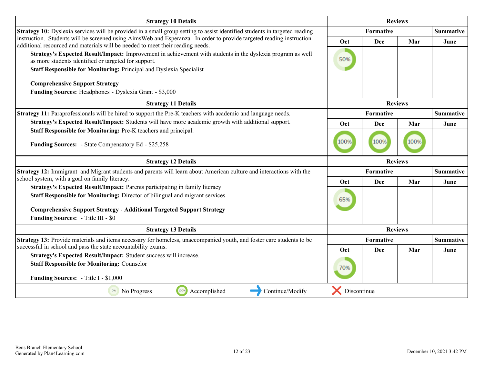| <b>Strategy 10 Details</b>                                                                                                                                                                             |                | <b>Reviews</b> |                |                  |
|--------------------------------------------------------------------------------------------------------------------------------------------------------------------------------------------------------|----------------|----------------|----------------|------------------|
| <b>Strategy 10:</b> Dyslexia services will be provided in a small group setting to assist identified students in targeted reading                                                                      |                | Formative      |                | <b>Summative</b> |
| instruction. Students will be screened using AimsWeb and Esperanza. In order to provide targeted reading instruction<br>additional resourced and materials will be needed to meet their reading needs. | Oct            | <b>Dec</b>     | Mar            | June             |
| Strategy's Expected Result/Impact: Improvement in achievement with students in the dyslexia program as well<br>as more students identified or targeted for support.                                    | 50%            |                |                |                  |
| Staff Responsible for Monitoring: Principal and Dyslexia Specialist                                                                                                                                    |                |                |                |                  |
| <b>Comprehensive Support Strategy</b>                                                                                                                                                                  |                |                |                |                  |
| Funding Sources: Headphones - Dyslexia Grant - \$3,000                                                                                                                                                 |                |                |                |                  |
| <b>Strategy 11 Details</b>                                                                                                                                                                             |                |                | <b>Reviews</b> |                  |
| Strategy 11: Paraprofessionals will be hired to support the Pre-K teachers with academic and language needs.                                                                                           |                | Formative      |                | <b>Summative</b> |
| Strategy's Expected Result/Impact: Students will have more academic growth with additional support.                                                                                                    | Oct            | Dec            | Mar            | June             |
| Staff Responsible for Monitoring: Pre-K teachers and principal.                                                                                                                                        |                |                |                |                  |
| <b>Funding Sources:</b> - State Compensatory Ed - \$25,258                                                                                                                                             | 100%           | 100%           | 100%           |                  |
|                                                                                                                                                                                                        | <b>Reviews</b> |                |                |                  |
| <b>Strategy 12 Details</b>                                                                                                                                                                             |                |                |                |                  |
| Strategy 12: Immigrant and Migrant students and parents will learn about American culture and interactions with the                                                                                    |                | Formative      |                | <b>Summative</b> |
| school system, with a goal on family literacy.                                                                                                                                                         | Oct            | Dec            | Mar            | June             |
| Strategy's Expected Result/Impact: Parents participating in family literacy<br>Staff Responsible for Monitoring: Director of bilingual and migrant services                                            | 65%            |                |                |                  |
| <b>Comprehensive Support Strategy - Additional Targeted Support Strategy</b>                                                                                                                           |                |                |                |                  |
| <b>Funding Sources:</b> - Title III - \$0                                                                                                                                                              |                |                |                |                  |
| <b>Strategy 13 Details</b>                                                                                                                                                                             |                |                | <b>Reviews</b> |                  |
| Strategy 13: Provide materials and items necessary for homeless, unaccompanied youth, and foster care students to be                                                                                   |                | Formative      |                | <b>Summative</b> |
| successful in school and pass the state accountability exams.                                                                                                                                          | Oct            | Dec            | Mar            | June             |
| Strategy's Expected Result/Impact: Student success will increase.<br><b>Staff Responsible for Monitoring: Counselor</b>                                                                                | 70%            |                |                |                  |
| <b>Funding Sources:</b> - Title I - \$1,000                                                                                                                                                            |                |                |                |                  |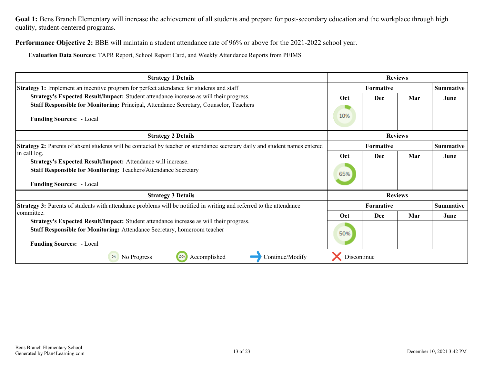Goal 1: Bens Branch Elementary will increase the achievement of all students and prepare for post-secondary education and the workplace through high quality, student-centered programs.

**Performance Objective 2:** BBE will maintain a student attendance rate of 96% or above for the 2021-2022 school year.

**Evaluation Data Sources:** TAPR Report, School Report Card, and Weekly Attendance Reports from PEIMS

| <b>Strategy 1 Details</b>                                                                                                   | <b>Reviews</b>   |                  |     |                  |
|-----------------------------------------------------------------------------------------------------------------------------|------------------|------------------|-----|------------------|
| Strategy 1: Implement an incentive program for perfect attendance for students and staff                                    |                  | <b>Formative</b> |     |                  |
| Strategy's Expected Result/Impact: Student attendance increase as will their progress.                                      | <b>Oct</b>       | Dec              | Mar | June             |
| Staff Responsible for Monitoring: Principal, Attendance Secretary, Counselor, Teachers                                      |                  |                  |     |                  |
| <b>Funding Sources:</b> - Local                                                                                             | 10%              |                  |     |                  |
| <b>Strategy 2 Details</b>                                                                                                   | <b>Reviews</b>   |                  |     |                  |
| Strategy 2: Parents of absent students will be contacted by teacher or attendance secretary daily and student names entered | <b>Formative</b> |                  |     | <b>Summative</b> |
| in call log.                                                                                                                | Oct              | Dec              | Mar | June             |
| Strategy's Expected Result/Impact: Attendance will increase.                                                                |                  |                  |     |                  |
| <b>Staff Responsible for Monitoring: Teachers/Attendance Secretary</b>                                                      | 65%              |                  |     |                  |
| <b>Funding Sources:</b> - Local                                                                                             |                  |                  |     |                  |
| <b>Strategy 3 Details</b>                                                                                                   | <b>Reviews</b>   |                  |     |                  |
| <b>Strategy 3:</b> Parents of students with attendance problems will be notified in writing and referred to the attendance  |                  | <b>Formative</b> |     | <b>Summative</b> |
| committee.                                                                                                                  | <b>Oct</b>       | Dec              | Mar | June             |
| Strategy's Expected Result/Impact: Student attendance increase as will their progress.                                      |                  |                  |     |                  |
| Staff Responsible for Monitoring: Attendance Secretary, homeroom teacher                                                    | 50%              |                  |     |                  |
| <b>Funding Sources:</b> - Local                                                                                             |                  |                  |     |                  |
| 100%<br>Accomplished<br>No Progress<br>Continue/Modify                                                                      | Discontinue      |                  |     |                  |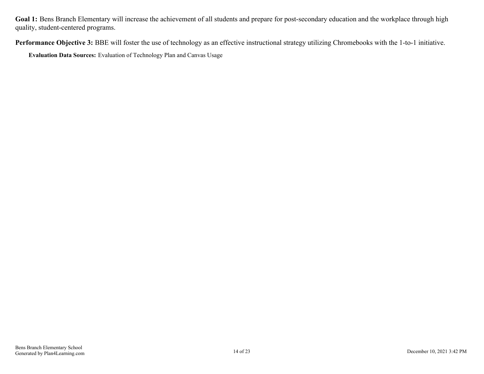Goal 1: Bens Branch Elementary will increase the achievement of all students and prepare for post-secondary education and the workplace through high quality, student-centered programs.

**Performance Objective 3:** BBE will foster the use of technology as an effective instructional strategy utilizing Chromebooks with the 1-to-1 initiative.

**Evaluation Data Sources:** Evaluation of Technology Plan and Canvas Usage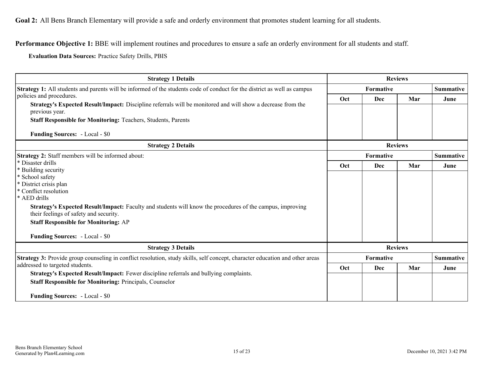<span id="page-14-0"></span>**Performance Objective 1:** BBE will implement routines and procedures to ensure a safe an orderly environment for all students and staff.

**Evaluation Data Sources:** Practice Safety Drills, PBIS

| <b>Strategy 1 Details</b>                                                                                                                                  |                  | <b>Reviews</b> |                |                  |  |                  |
|------------------------------------------------------------------------------------------------------------------------------------------------------------|------------------|----------------|----------------|------------------|--|------------------|
| Strategy 1: All students and parents will be informed of the students code of conduct for the district as well as campus                                   | <b>Formative</b> |                |                | <b>Summative</b> |  |                  |
| policies and procedures.                                                                                                                                   | Oct              | Dec            | Mar            | June             |  |                  |
| Strategy's Expected Result/Impact: Discipline referrals will be monitored and will show a decrease from the<br>previous year.                              |                  |                |                |                  |  |                  |
| <b>Staff Responsible for Monitoring: Teachers, Students, Parents</b>                                                                                       |                  |                |                |                  |  |                  |
| <b>Funding Sources: - Local - \$0</b>                                                                                                                      |                  |                |                |                  |  |                  |
| <b>Strategy 2 Details</b>                                                                                                                                  |                  |                | <b>Reviews</b> |                  |  |                  |
| Strategy 2: Staff members will be informed about:                                                                                                          |                  | Formative      |                |                  |  | <b>Summative</b> |
| * Disaster drills                                                                                                                                          | Oct              | <b>Dec</b>     | Mar            | June             |  |                  |
| * Building security<br>* School safety                                                                                                                     |                  |                |                |                  |  |                  |
| * District crisis plan                                                                                                                                     |                  |                |                |                  |  |                  |
| * Conflict resolution                                                                                                                                      |                  |                |                |                  |  |                  |
| * AED drills                                                                                                                                               |                  |                |                |                  |  |                  |
| <b>Strategy's Expected Result/Impact:</b> Faculty and students will know the procedures of the campus, improving<br>their feelings of safety and security. |                  |                |                |                  |  |                  |
| <b>Staff Responsible for Monitoring: AP</b>                                                                                                                |                  |                |                |                  |  |                  |
|                                                                                                                                                            |                  |                |                |                  |  |                  |
| <b>Funding Sources: - Local - \$0</b>                                                                                                                      |                  |                |                |                  |  |                  |
| <b>Strategy 3 Details</b>                                                                                                                                  |                  |                | <b>Reviews</b> |                  |  |                  |
| Strategy 3: Provide group counseling in conflict resolution, study skills, self concept, character education and other areas                               |                  | Formative      |                | <b>Summative</b> |  |                  |
| addressed to targeted students.                                                                                                                            | Oct              | <b>Dec</b>     | Mar            | June             |  |                  |
| Strategy's Expected Result/Impact: Fewer discipline referrals and bullying complaints.                                                                     |                  |                |                |                  |  |                  |
| <b>Staff Responsible for Monitoring: Principals, Counselor</b>                                                                                             |                  |                |                |                  |  |                  |
| <b>Funding Sources: - Local - \$0</b>                                                                                                                      |                  |                |                |                  |  |                  |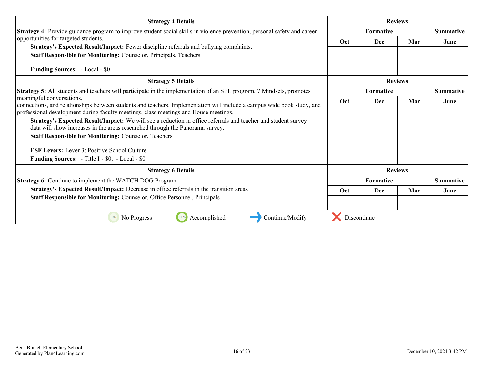| <b>Strategy 4 Details</b>                                                                                                                                                                                       |                  | <b>Reviews</b>   |                |                  |
|-----------------------------------------------------------------------------------------------------------------------------------------------------------------------------------------------------------------|------------------|------------------|----------------|------------------|
| Strategy 4: Provide guidance program to improve student social skills in violence prevention, personal safety and career                                                                                        | <b>Formative</b> |                  |                | <b>Summative</b> |
| opportunities for targeted students.                                                                                                                                                                            | <b>Oct</b>       | Dec              | Mar            | June             |
| Strategy's Expected Result/Impact: Fewer discipline referrals and bullying complaints.                                                                                                                          |                  |                  |                |                  |
| Staff Responsible for Monitoring: Counselor, Principals, Teachers                                                                                                                                               |                  |                  |                |                  |
| <b>Funding Sources: - Local - \$0</b>                                                                                                                                                                           |                  |                  |                |                  |
| <b>Strategy 5 Details</b>                                                                                                                                                                                       |                  |                  | <b>Reviews</b> |                  |
| Strategy 5: All students and teachers will participate in the implementation of an SEL program, 7 Mindsets, promotes                                                                                            |                  | <b>Formative</b> |                | <b>Summative</b> |
| meaningful conversations,                                                                                                                                                                                       | Oct              | Dec              | Mar            | June             |
| connections, and relationships between students and teachers. Implementation will include a campus wide book study, and<br>professional development during faculty meetings, class meetings and House meetings. |                  |                  |                |                  |
| Strategy's Expected Result/Impact: We will see a reduction in office referrals and teacher and student survey                                                                                                   |                  |                  |                |                  |
| data will show increases in the areas researched through the Panorama survey.                                                                                                                                   |                  |                  |                |                  |
| <b>Staff Responsible for Monitoring: Counselor, Teachers</b>                                                                                                                                                    |                  |                  |                |                  |
| <b>ESF Levers:</b> Lever 3: Positive School Culture                                                                                                                                                             |                  |                  |                |                  |
| <b>Funding Sources:</b> - Title I - \$0, - Local - \$0                                                                                                                                                          |                  |                  |                |                  |
| <b>Strategy 6 Details</b>                                                                                                                                                                                       |                  |                  | <b>Reviews</b> |                  |
| Strategy 6: Continue to implement the WATCH DOG Program                                                                                                                                                         |                  | Formative        |                | <b>Summative</b> |
| Strategy's Expected Result/Impact: Decrease in office referrals in the transition areas                                                                                                                         | Oct              | Dec              | Mar            | June             |
| Staff Responsible for Monitoring: Counselor, Office Personnel, Principals                                                                                                                                       |                  |                  |                |                  |
|                                                                                                                                                                                                                 |                  |                  |                |                  |
| 1009<br>Accomplished<br>Continue/Modify<br>0%<br>No Progress                                                                                                                                                    | Discontinue      |                  |                |                  |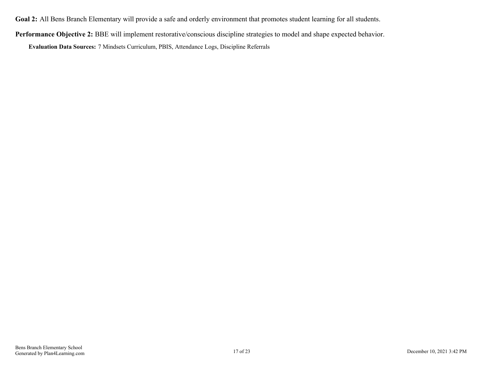**Goal 2:** All Bens Branch Elementary will provide a safe and orderly environment that promotes student learning for all students.

**Performance Objective 2:** BBE will implement restorative/conscious discipline strategies to model and shape expected behavior.

**Evaluation Data Sources:** 7 Mindsets Curriculum, PBIS, Attendance Logs, Discipline Referrals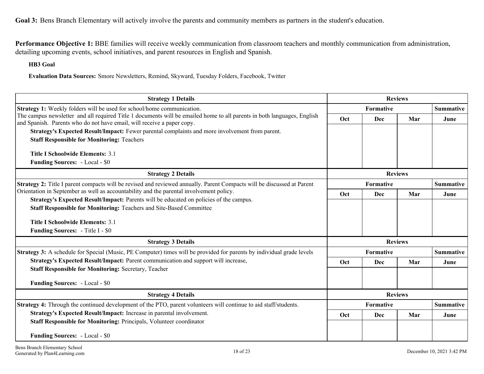<span id="page-17-0"></span>**Goal 3:** Bens Branch Elementary will actively involve the parents and community members as partners in the student's education.

**Performance Objective 1:** BBE families will receive weekly communication from classroom teachers and monthly communication from administration, detailing upcoming events, school initiatives, and parent resources in English and Spanish.

**HB3 Goal**

**Evaluation Data Sources:** Smore Newsletters, Remind, Skyward, Tuesday Folders, Facebook, Twitter

| <b>Strategy 1 Details</b>                                                                                                                                                                         |     | <b>Reviews</b> |                |                  |
|---------------------------------------------------------------------------------------------------------------------------------------------------------------------------------------------------|-----|----------------|----------------|------------------|
| <b>Strategy 1:</b> Weekly folders will be used for school/home communication.                                                                                                                     |     | Formative      |                |                  |
| The campus newsletter and all required Title 1 documents will be emailed home to all parents in both languages, English<br>and Spanish. Parents who do not have email, will receive a paper copy. | Oct | Dec            | Mar            | June             |
| Strategy's Expected Result/Impact: Fewer parental complaints and more involvement from parent.                                                                                                    |     |                |                |                  |
| <b>Staff Responsible for Monitoring: Teachers</b>                                                                                                                                                 |     |                |                |                  |
| <b>Title I Schoolwide Elements: 3.1</b>                                                                                                                                                           |     |                |                |                  |
| <b>Funding Sources: - Local - \$0</b>                                                                                                                                                             |     |                |                |                  |
| <b>Strategy 2 Details</b>                                                                                                                                                                         |     |                | <b>Reviews</b> |                  |
| Strategy 2: Title I parent compacts will be revised and reviewed annually. Parent Compacts will be discussed at Parent                                                                            |     | Formative      |                | <b>Summative</b> |
| Orientation in September as well as accountability and the parental involvement policy.                                                                                                           | Oct | <b>Dec</b>     | Mar            | June             |
| Strategy's Expected Result/Impact: Parents will be educated on policies of the campus.                                                                                                            |     |                |                |                  |
| Staff Responsible for Monitoring: Teachers and Site-Based Committee                                                                                                                               |     |                |                |                  |
| <b>Title I Schoolwide Elements: 3.1</b>                                                                                                                                                           |     |                |                |                  |
| Funding Sources: - Title I - \$0                                                                                                                                                                  |     |                |                |                  |
| <b>Strategy 3 Details</b>                                                                                                                                                                         |     |                | <b>Reviews</b> |                  |
| <b>Strategy 3:</b> A schedule for Special (Music, PE Computer) times will be provided for parents by individual grade levels                                                                      |     | Formative      |                | <b>Summative</b> |
| Strategy's Expected Result/Impact: Parent communication and support will increase,                                                                                                                | Oct | Dec            | Mar            | June             |
| <b>Staff Responsible for Monitoring: Secretary, Teacher</b>                                                                                                                                       |     |                |                |                  |
| <b>Funding Sources: - Local - \$0</b>                                                                                                                                                             |     |                |                |                  |
| <b>Strategy 4 Details</b>                                                                                                                                                                         |     |                | <b>Reviews</b> |                  |
| Strategy 4: Through the continued development of the PTO, parent volunteers will continue to aid staff/students.                                                                                  |     | Formative      |                | <b>Summative</b> |
| Strategy's Expected Result/Impact: Increase in parental involvement.                                                                                                                              | Oct | Dec            | Mar            | June             |
| Staff Responsible for Monitoring: Principals, Volunteer coordinator                                                                                                                               |     |                |                |                  |
| <b>Funding Sources: - Local - \$0</b>                                                                                                                                                             |     |                |                |                  |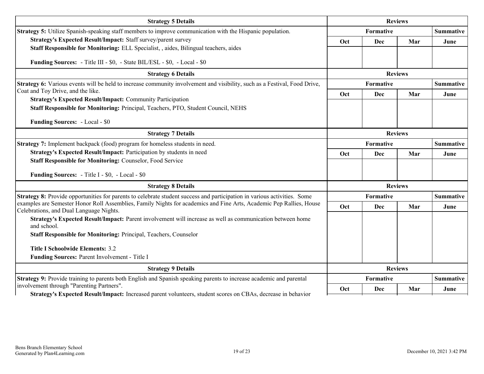| <b>Strategy 5 Details</b>                                                                                                                                      | <b>Reviews</b> |                  |                  |                  |
|----------------------------------------------------------------------------------------------------------------------------------------------------------------|----------------|------------------|------------------|------------------|
| Strategy 5: Utilize Spanish-speaking staff members to improve communication with the Hispanic population.                                                      |                | Formative        |                  | <b>Summative</b> |
| Strategy's Expected Result/Impact: Staff survey/parent survey                                                                                                  | Oct            | Dec              | Mar              | June             |
| Staff Responsible for Monitoring: ELL Specialist, , aides, Bilingual teachers, aides                                                                           |                |                  |                  |                  |
| Funding Sources: - Title III - \$0, - State BIL/ESL - \$0, - Local - \$0                                                                                       |                |                  |                  |                  |
| <b>Strategy 6 Details</b>                                                                                                                                      | <b>Reviews</b> |                  |                  |                  |
| Strategy 6: Various events will be held to increase community involvement and visibility, such as a Festival, Food Drive,                                      |                | <b>Formative</b> |                  | <b>Summative</b> |
| Coat and Toy Drive, and the like.<br><b>Strategy's Expected Result/Impact: Community Participation</b>                                                         | Oct            | Dec              | Mar              | June             |
| Staff Responsible for Monitoring: Principal, Teachers, PTO, Student Council, NEHS                                                                              |                |                  |                  |                  |
|                                                                                                                                                                |                |                  |                  |                  |
| <b>Funding Sources: - Local - \$0</b>                                                                                                                          |                |                  |                  |                  |
| <b>Strategy 7 Details</b>                                                                                                                                      |                |                  | <b>Reviews</b>   |                  |
| Strategy 7: Implement backpack (food) program for homeless students in need.                                                                                   | Formative      |                  | <b>Summative</b> |                  |
| Strategy's Expected Result/Impact: Participation by students in need                                                                                           | Oct            | Dec              | Mar              | June             |
| Staff Responsible for Monitoring: Counselor, Food Service                                                                                                      |                |                  |                  |                  |
| <b>Funding Sources:</b> - Title I - \$0, - Local - \$0                                                                                                         |                |                  |                  |                  |
| <b>Strategy 8 Details</b>                                                                                                                                      |                |                  | <b>Reviews</b>   |                  |
| <b>Strategy 8:</b> Provide opportunities for parents to celebrate student success and participation in various activities. Some                                |                | Formative        | <b>Summative</b> |                  |
| examples are Semester Honor Roll Assemblies, Family Nights for academics and Fine Arts, Academic Pep Rallies, House<br>Celebrations, and Dual Language Nights. | Oct            | Dec              | Mar              | June             |
| Strategy's Expected Result/Impact: Parent involvement will increase as well as communication between home<br>and school.                                       |                |                  |                  |                  |
| Staff Responsible for Monitoring: Principal, Teachers, Counselor                                                                                               |                |                  |                  |                  |
| <b>Title I Schoolwide Elements: 3.2</b>                                                                                                                        |                |                  |                  |                  |
| Funding Sources: Parent Involvement - Title I                                                                                                                  |                |                  |                  |                  |
| <b>Strategy 9 Details</b>                                                                                                                                      |                |                  | <b>Reviews</b>   |                  |
| <b>Strategy 9:</b> Provide training to parents both English and Spanish speaking parents to increase academic and parental                                     |                | Formative        |                  | <b>Summative</b> |
| involvement through "Parenting Partners".<br>Strategy's Expected Result/Impact: Increased parent volunteers, student scores on CBAs, decrease in behavior      | Oct            | <b>Dec</b>       | Mar              | June             |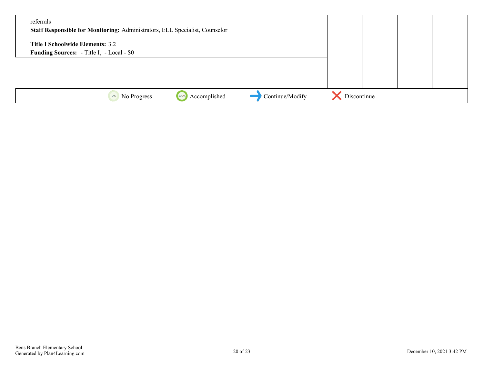| referrals<br>Staff Responsible for Monitoring: Administrators, ELL Specialist, Counselor    |             |  |  |
|---------------------------------------------------------------------------------------------|-------------|--|--|
| <b>Title I Schoolwide Elements: 3.2</b><br><b>Funding Sources:</b> - Title I, - Local - \$0 |             |  |  |
|                                                                                             |             |  |  |
|                                                                                             |             |  |  |
| Continue/Modify<br>Accomplished<br>No Progress<br>100%<br>0%                                | Discontinue |  |  |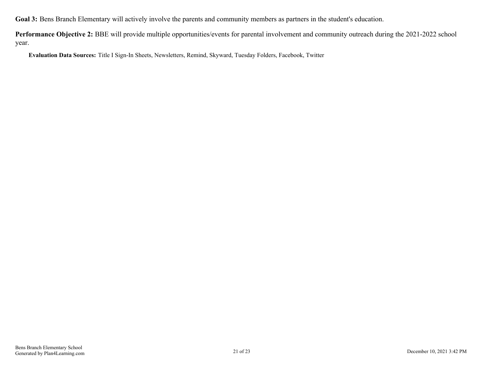**Goal 3:** Bens Branch Elementary will actively involve the parents and community members as partners in the student's education.

**Performance Objective 2:** BBE will provide multiple opportunities/events for parental involvement and community outreach during the 2021-2022 school year.

**Evaluation Data Sources:** Title I Sign-In Sheets, Newsletters, Remind, Skyward, Tuesday Folders, Facebook, Twitter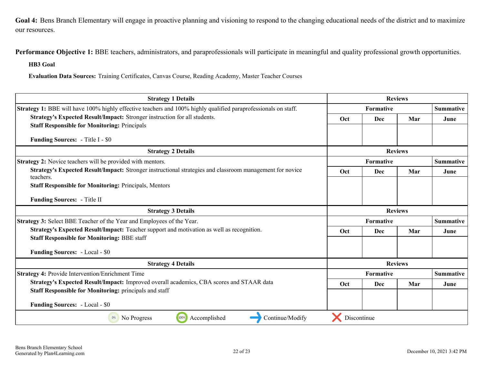<span id="page-21-0"></span>Goal 4: Bens Branch Elementary will engage in proactive planning and visioning to respond to the changing educational needs of the district and to maximize our resources.

Performance Objective 1: BBE teachers, administrators, and paraprofessionals will participate in meaningful and quality professional growth opportunities.

**HB3 Goal**

**Evaluation Data Sources:** Training Certificates, Canvas Course, Reading Academy, Master Teacher Courses

| <b>Strategy 1 Details</b>                                                                                             | <b>Reviews</b>   |                  |                |                  |
|-----------------------------------------------------------------------------------------------------------------------|------------------|------------------|----------------|------------------|
| Strategy 1: BBE will have 100% highly effective teachers and 100% highly qualified paraprofessionals on staff.        | <b>Formative</b> |                  |                | <b>Summative</b> |
| Strategy's Expected Result/Impact: Stronger instruction for all students.                                             | Oct              | <b>Dec</b>       | Mar            | June             |
| <b>Staff Responsible for Monitoring: Principals</b>                                                                   |                  |                  |                |                  |
| <b>Funding Sources:</b> - Title I - \$0                                                                               |                  |                  |                |                  |
| <b>Strategy 2 Details</b>                                                                                             | <b>Reviews</b>   |                  |                |                  |
| <b>Strategy 2:</b> Novice teachers will be provided with mentors.                                                     |                  | <b>Formative</b> |                | <b>Summative</b> |
| Strategy's Expected Result/Impact: Stronger instructional strategies and classroom management for novice<br>teachers. | Oct              | Dec              | Mar            | June             |
| <b>Staff Responsible for Monitoring: Principals, Mentors</b>                                                          |                  |                  |                |                  |
| <b>Funding Sources:</b> - Title II                                                                                    |                  |                  |                |                  |
| <b>Strategy 3 Details</b>                                                                                             |                  |                  | <b>Reviews</b> |                  |
| Strategy 3: Select BBE Teacher of the Year and Employees of the Year.                                                 |                  | <b>Formative</b> |                | Summative        |
| Strategy's Expected Result/Impact: Teacher support and motivation as well as recognition.                             | Oct              | <b>Dec</b>       | Mar            | June             |
| <b>Staff Responsible for Monitoring: BBE staff</b>                                                                    |                  |                  |                |                  |
| <b>Funding Sources: - Local - \$0</b>                                                                                 |                  |                  |                |                  |
| <b>Strategy 4 Details</b>                                                                                             |                  |                  | <b>Reviews</b> |                  |
| <b>Strategy 4: Provide Intervention/Enrichment Time</b>                                                               |                  | Formative        |                | <b>Summative</b> |
| Strategy's Expected Result/Impact: Improved overall academics, CBA scores and STAAR data                              | Oct              | <b>Dec</b>       | Mar            | June             |
| <b>Staff Responsible for Monitoring: principals and staff</b>                                                         |                  |                  |                |                  |
| <b>Funding Sources: - Local - \$0</b>                                                                                 |                  |                  |                |                  |
| 100%<br>Accomplished<br>Continue/Modify<br>0%<br>No Progress                                                          | Discontinue      |                  |                |                  |